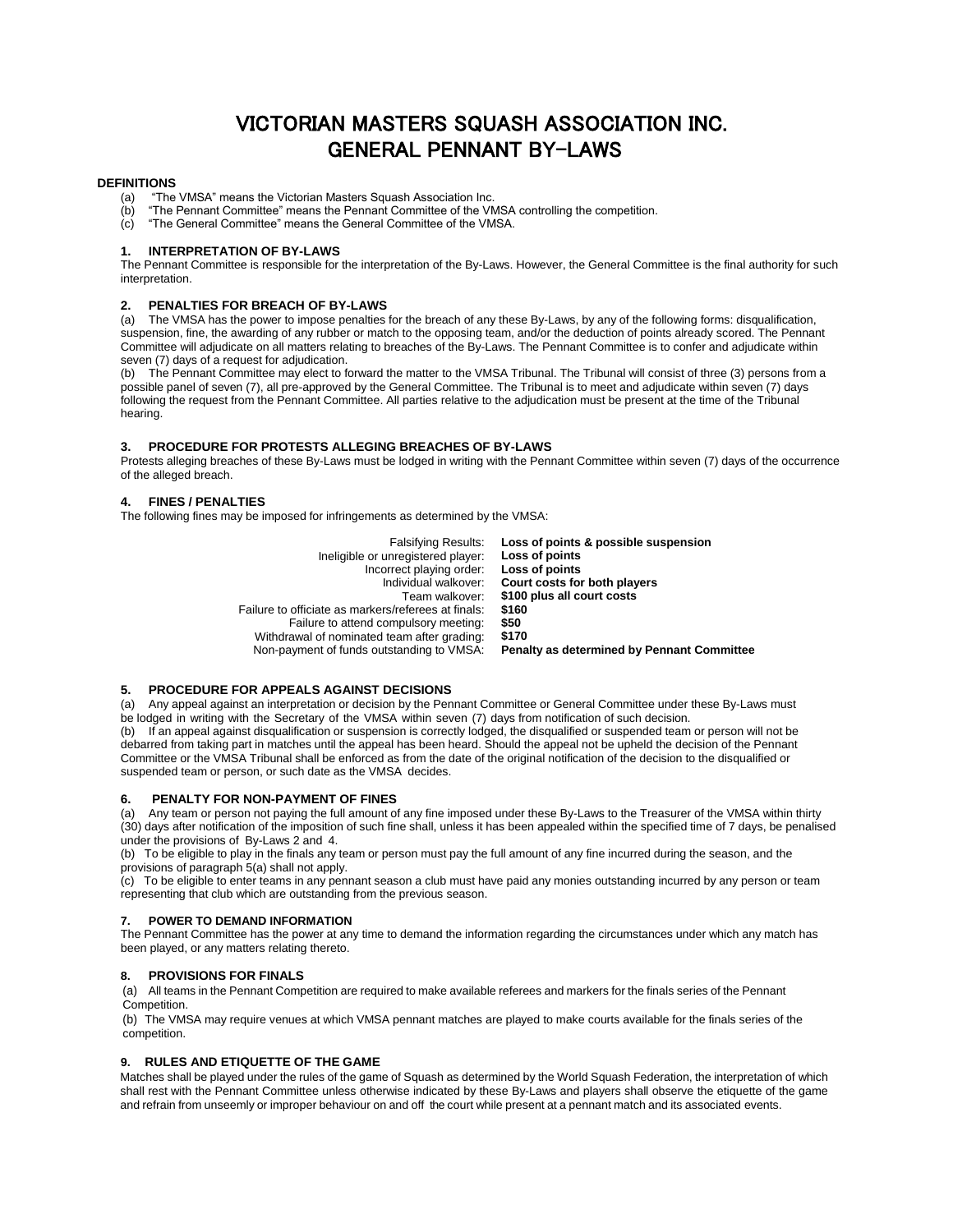# VICTORIAN MASTERS SQUASH ASSOCIATION INC. GENERAL PENNANT BY-LAWS

# **DEFINITIONS**

- (a) "The VMSA" means the Victorian Masters Squash Association Inc.
- (b) "The Pennant Committee" means the Pennant Committee of the VMSA controlling the competition.
- (c) "The General Committee" means the General Committee of the VMSA.

#### **1. INTERPRETATION OF BY-LAWS**

The Pennant Committee is responsible for the interpretation of the By-Laws. However, the General Committee is the final authority for such interpretation.

#### **2. PENALTIES FOR BREACH OF BY-LAWS**

(a) The VMSA has the power to impose penalties for the breach of any these By-Laws, by any of the following forms: disqualification, suspension, fine, the awarding of any rubber or match to the opposing team, and/or the deduction of points already scored. The Pennant Committee will adjudicate on all matters relating to breaches of the By-Laws. The Pennant Committee is to confer and adjudicate within seven (7) days of a request for adjudication.

(b) The Pennant Committee may elect to forward the matter to the VMSA Tribunal. The Tribunal will consist of three (3) persons from a possible panel of seven (7), all pre-approved by the General Committee. The Tribunal is to meet and adjudicate within seven (7) days following the request from the Pennant Committee. All parties relative to the adjudication must be present at the time of the Tribunal hearing.

# **3. PROCEDURE FOR PROTESTS ALLEGING BREACHES OF BY-LAWS**

Protests alleging breaches of these By-Laws must be lodged in writing with the Pennant Committee within seven (7) days of the occurrence of the alleged breach.

# **4. FINES / PENALTIES**

The following fines may be imposed for infringements as determined by the VMSA:

| <b>Falsifying Results:</b>                          | Loss of points & possible suspension              |
|-----------------------------------------------------|---------------------------------------------------|
| Ineligible or unregistered player:                  | Loss of points                                    |
| Incorrect playing order:                            | Loss of points                                    |
| Individual walkover:                                | Court costs for both players                      |
| Team walkover:                                      | \$100 plus all court costs                        |
| Failure to officiate as markers/referees at finals: | \$160                                             |
| Failure to attend compulsory meeting:               | \$50                                              |
| Withdrawal of nominated team after grading:         | \$170                                             |
| Non-payment of funds outstanding to VMSA:           | <b>Penalty as determined by Pennant Committee</b> |

# **5. PROCEDURE FOR APPEALS AGAINST DECISIONS**

(a) Any appeal against an interpretation or decision by the Pennant Committee or General Committee under these By-Laws must be lodged in writing with the Secretary of the VMSA within seven (7) days from notification of such decision.

(b) If an appeal against disqualification or suspension is correctly lodged, the disqualified or suspended team or person will not be debarred from taking part in matches until the appeal has been heard. Should the appeal not be upheld the decision of the Pennant Committee or the VMSA Tribunal shall be enforced as from the date of the original notification of the decision to the disqualified or suspended team or person, or such date as the VMSA decides.

#### **6. PENALTY FOR NON-PAYMENT OF FINES**

(a) Any team or person not paying the full amount of any fine imposed under these By-Laws to the Treasurer of the VMSA within thirty (30) days after notification of the imposition of such fine shall, unless it has been appealed within the specified time of 7 days, be penalised under the provisions of By-Laws 2 and 4.

(b) To be eligible to play in the finals any team or person must pay the full amount of any fine incurred during the season, and the provisions of paragraph 5(a) shall not apply.

(c) To be eligible to enter teams in any pennant season a club must have paid any monies outstanding incurred by any person or team representing that club which are outstanding from the previous season.

#### **7. POWER TO DEMAND INFORMATION**

The Pennant Committee has the power at any time to demand the information regarding the circumstances under which any match has been played, or any matters relating thereto.

# **8. PROVISIONS FOR FINALS**

(a) All teams in the Pennant Competition are required to make available referees and markers for the finals series of the Pennant Competition.

(b) The VMSA may require venues at which VMSA pennant matches are played to make courts available for the finals series of the competition.

# **9. RULES AND ETIQUETTE OF THE GAME**

Matches shall be played under the rules of the game of Squash as determined by the World Squash Federation, the interpretation of which shall rest with the Pennant Committee unless otherwise indicated by these By-Laws and players shall observe the etiquette of the game and refrain from unseemly or improper behaviour on and off the court while present at a pennant match and its associated events.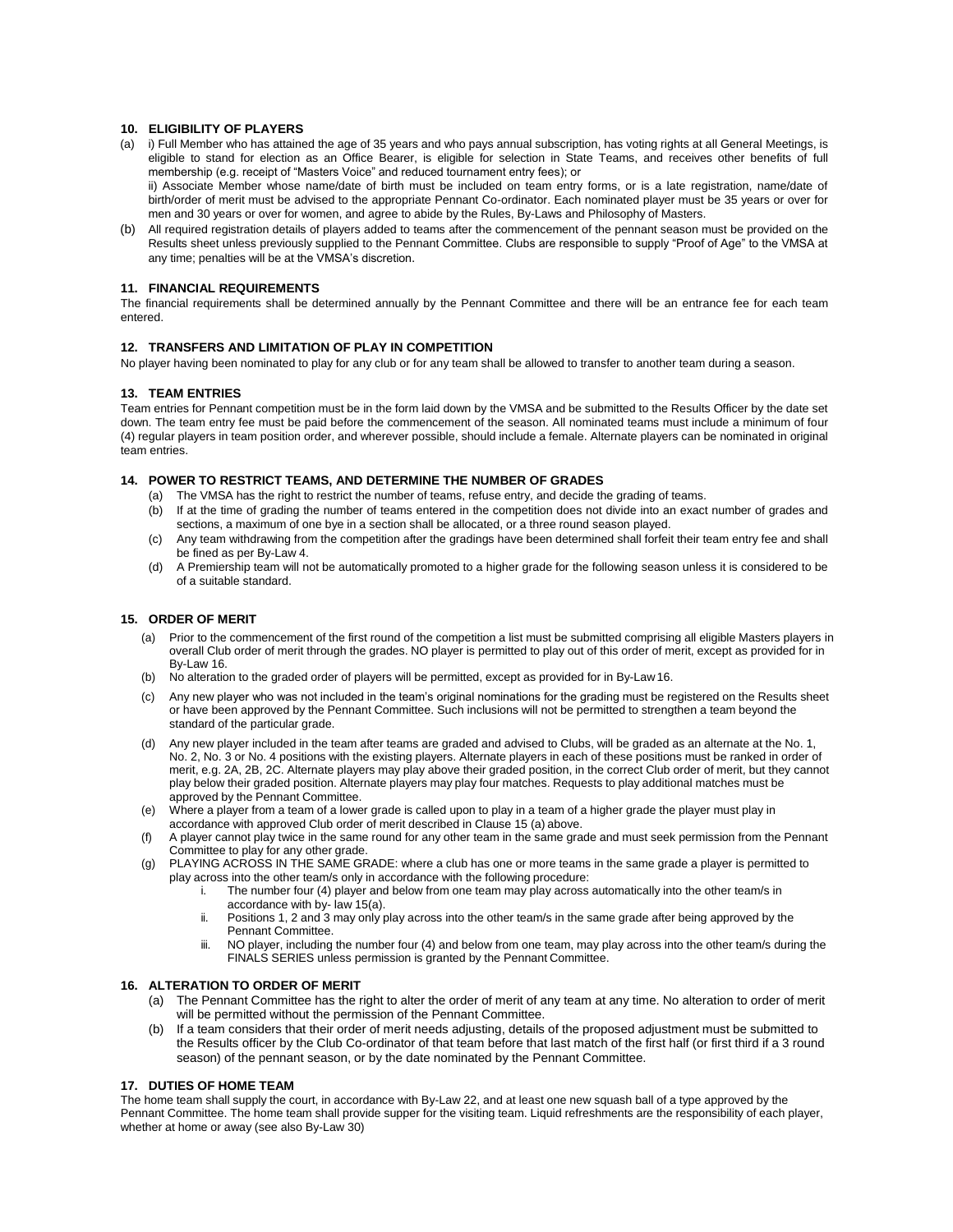# **10. ELIGIBILITY OF PLAYERS**

- (a) i) Full Member who has attained the age of 35 years and who pays annual subscription, has voting rights at all General Meetings, is eligible to stand for election as an Office Bearer, is eligible for selection in State Teams, and receives other benefits of full membership (e.g. receipt of "Masters Voice" and reduced tournament entry fees); or ii) Associate Member whose name/date of birth must be included on team entry forms, or is a late registration, name/date of
- birth/order of merit must be advised to the appropriate Pennant Co-ordinator. Each nominated player must be 35 years or over for men and 30 years or over for women, and agree to abide by the Rules, By-Laws and Philosophy of Masters.
- (b) All required registration details of players added to teams after the commencement of the pennant season must be provided on the Results sheet unless previously supplied to the Pennant Committee. Clubs are responsible to supply "Proof of Age" to the VMSA at any time; penalties will be at the VMSA's discretion.

# **11. FINANCIAL REQUIREMENTS**

The financial requirements shall be determined annually by the Pennant Committee and there will be an entrance fee for each team entered.

# **12. TRANSFERS AND LIMITATION OF PLAY IN COMPETITION**

No player having been nominated to play for any club or for any team shall be allowed to transfer to another team during a season.

# **13. TEAM ENTRIES**

Team entries for Pennant competition must be in the form laid down by the VMSA and be submitted to the Results Officer by the date set down. The team entry fee must be paid before the commencement of the season. All nominated teams must include a minimum of four (4) regular players in team position order, and wherever possible, should include a female. Alternate players can be nominated in original team entries.

# **14. POWER TO RESTRICT TEAMS, AND DETERMINE THE NUMBER OF GRADES**

- (a) The VMSA has the right to restrict the number of teams, refuse entry, and decide the grading of teams.
- (b) If at the time of grading the number of teams entered in the competition does not divide into an exact number of grades and sections, a maximum of one bye in a section shall be allocated, or a three round season played.
- (c) Any team withdrawing from the competition after the gradings have been determined shall forfeit their team entry fee and shall be fined as per By-Law 4.
- (d) A Premiership team will not be automatically promoted to a higher grade for the following season unless it is considered to be of a suitable standard.

# **15. ORDER OF MERIT**

- (a) Prior to the commencement of the first round of the competition a list must be submitted comprising all eligible Masters players in overall Club order of merit through the grades. NO player is permitted to play out of this order of merit, except as provided for in By-Law 16.
- (b) No alteration to the graded order of players will be permitted, except as provided for in By-Law16.
- (c) Any new player who was not included in the team's original nominations for the grading must be registered on the Results sheet or have been approved by the Pennant Committee. Such inclusions will not be permitted to strengthen a team beyond the standard of the particular grade.
- (d) Any new player included in the team after teams are graded and advised to Clubs, will be graded as an alternate at the No. 1, No. 2, No. 3 or No. 4 positions with the existing players. Alternate players in each of these positions must be ranked in order of merit, e.g. 2A, 2B, 2C. Alternate players may play above their graded position, in the correct Club order of merit, but they cannot play below their graded position. Alternate players may play four matches. Requests to play additional matches must be approved by the Pennant Committee.
- (e) Where a player from a team of a lower grade is called upon to play in a team of a higher grade the player must play in accordance with approved Club order of merit described in Clause 15 (a) above.
- A player cannot play twice in the same round for any other team in the same grade and must seek permission from the Pennant Committee to play for any other grade.
- (g) PLAYING ACROSS IN THE SAME GRADE: where a club has one or more teams in the same grade a player is permitted to play across into the other team/s only in accordance with the following procedure:
	- i. The number four (4) player and below from one team may play across automatically into the other team/s in accordance with by- law 15(a).
		- ii. Positions 1, 2 and 3 may only play across into the other team/s in the same grade after being approved by the Pennant Committee.
		- iii. NO player, including the number four (4) and below from one team, may play across into the other team/s during the FINALS SERIES unless permission is granted by the Pennant Committee.

# **16. ALTERATION TO ORDER OF MERIT**

- (a) The Pennant Committee has the right to alter the order of merit of any team at any time. No alteration to order of merit will be permitted without the permission of the Pennant Committee.
- (b) If a team considers that their order of merit needs adjusting, details of the proposed adjustment must be submitted to the Results officer by the Club Co-ordinator of that team before that last match of the first half (or first third if a 3 round season) of the pennant season, or by the date nominated by the Pennant Committee.

# **17. DUTIES OF HOME TEAM**

The home team shall supply the court, in accordance with By-Law 22, and at least one new squash ball of a type approved by the Pennant Committee. The home team shall provide supper for the visiting team. Liquid refreshments are the responsibility of each player, whether at home or away (see also By-Law 30)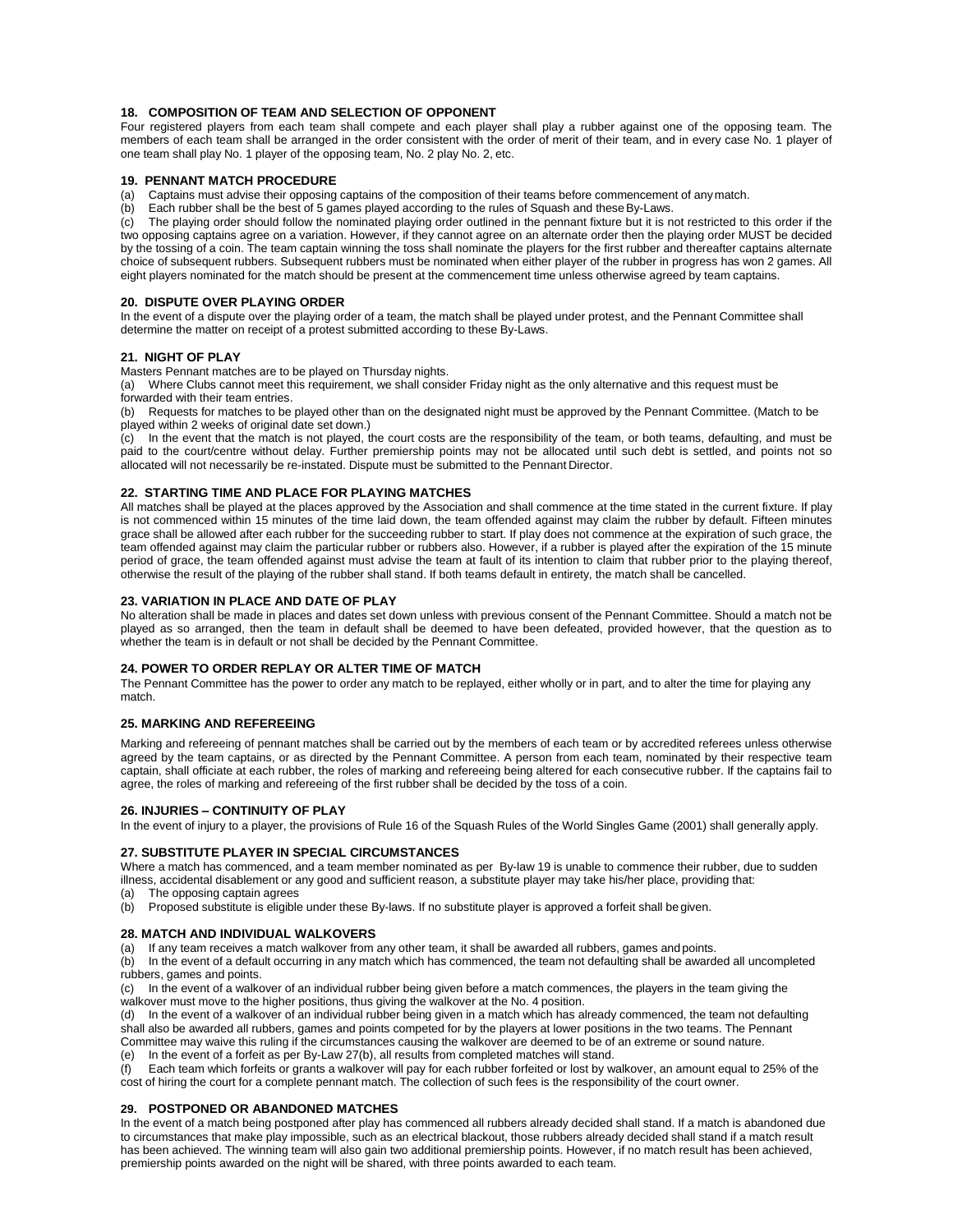# **18. COMPOSITION OF TEAM AND SELECTION OF OPPONENT**

Four registered players from each team shall compete and each player shall play a rubber against one of the opposing team. The members of each team shall be arranged in the order consistent with the order of merit of their team, and in every case No. 1 player of one team shall play No. 1 player of the opposing team, No. 2 play No. 2, etc.

# **19. PENNANT MATCH PROCEDURE**

(a) Captains must advise their opposing captains of the composition of their teams before commencement of anymatch.

(b) Each rubber shall be the best of 5 games played according to the rules of Squash and theseBy-Laws.

(c) The playing order should follow the nominated playing order outlined in the pennant fixture but it is not restricted to this order if the two opposing captains agree on a variation. However, if they cannot agree on an alternate order then the playing order MUST be decided by the tossing of a coin. The team captain winning the toss shall nominate the players for the first rubber and thereafter captains alternate choice of subsequent rubbers. Subsequent rubbers must be nominated when either player of the rubber in progress has won 2 games. All eight players nominated for the match should be present at the commencement time unless otherwise agreed by team captains.

# **20. DISPUTE OVER PLAYING ORDER**

In the event of a dispute over the playing order of a team, the match shall be played under protest, and the Pennant Committee shall determine the matter on receipt of a protest submitted according to these By-Laws.

#### **21. NIGHT OF PLAY**

Masters Pennant matches are to be played on Thursday nights.

(a) Where Clubs cannot meet this requirement, we shall consider Friday night as the only alternative and this request must be forwarded with their team entries.

(b) Requests for matches to be played other than on the designated night must be approved by the Pennant Committee. (Match to be played within 2 weeks of original date set down.)

(c) In the event that the match is not played, the court costs are the responsibility of the team, or both teams, defaulting, and must be paid to the court/centre without delay. Further premiership points may not be allocated until such debt is settled, and points not so allocated will not necessarily be re-instated. Dispute must be submitted to the Pennant Director.

#### **22. STARTING TIME AND PLACE FOR PLAYING MATCHES**

All matches shall be played at the places approved by the Association and shall commence at the time stated in the current fixture. If play is not commenced within 15 minutes of the time laid down, the team offended against may claim the rubber by default. Fifteen minutes grace shall be allowed after each rubber for the succeeding rubber to start. If play does not commence at the expiration of such grace, the team offended against may claim the particular rubber or rubbers also. However, if a rubber is played after the expiration of the 15 minute period of grace, the team offended against must advise the team at fault of its intention to claim that rubber prior to the playing thereof, otherwise the result of the playing of the rubber shall stand. If both teams default in entirety, the match shall be cancelled.

#### **23. VARIATION IN PLACE AND DATE OF PLAY**

No alteration shall be made in places and dates set down unless with previous consent of the Pennant Committee. Should a match not be played as so arranged, then the team in default shall be deemed to have been defeated, provided however, that the question as to whether the team is in default or not shall be decided by the Pennant Committee.

#### **24. POWER TO ORDER REPLAY OR ALTER TIME OF MATCH**

The Pennant Committee has the power to order any match to be replayed, either wholly or in part, and to alter the time for playing any match.

#### **25. MARKING AND REFEREEING**

Marking and refereeing of pennant matches shall be carried out by the members of each team or by accredited referees unless otherwise agreed by the team captains, or as directed by the Pennant Committee. A person from each team, nominated by their respective team captain, shall officiate at each rubber, the roles of marking and refereeing being altered for each consecutive rubber. If the captains fail to agree, the roles of marking and refereeing of the first rubber shall be decided by the toss of a coin.

# **26. INJURIES – CONTINUITY OF PLAY**

In the event of injury to a player, the provisions of Rule 16 of the Squash Rules of the World Singles Game (2001) shall generally apply.

# **27. SUBSTITUTE PLAYER IN SPECIAL CIRCUMSTANCES**

Where a match has commenced, and a team member nominated as per By-law 19 is unable to commence their rubber, due to sudden illness, accidental disablement or any good and sufficient reason, a substitute player may take his/her place, providing that:

(a) The opposing captain agrees

(b) Proposed substitute is eligible under these By-laws. If no substitute player is approved a forfeit shall begiven.

# **28. MATCH AND INDIVIDUAL WALKOVERS**

(a) If any team receives a match walkover from any other team, it shall be awarded all rubbers, games and points.

(b) In the event of a default occurring in any match which has commenced, the team not defaulting shall be awarded all uncompleted rubbers, games and points.

(c) In the event of a walkover of an individual rubber being given before a match commences, the players in the team giving the walkover must move to the higher positions, thus giving the walkover at the No. 4 position.

(d) In the event of a walkover of an individual rubber being given in a match which has already commenced, the team not defaulting shall also be awarded all rubbers, games and points competed for by the players at lower positions in the two teams. The Pennant Committee may waive this ruling if the circumstances causing the walkover are deemed to be of an extreme or sound nature.

(e) In the event of a forfeit as per By-Law 27(b), all results from completed matches will stand.

(f) Each team which forfeits or grants a walkover will pay for each rubber forfeited or lost by walkover, an amount equal to 25% of the cost of hiring the court for a complete pennant match. The collection of such fees is the responsibility of the court owner.

# **29. POSTPONED OR ABANDONED MATCHES**

In the event of a match being postponed after play has commenced all rubbers already decided shall stand. If a match is abandoned due to circumstances that make play impossible, such as an electrical blackout, those rubbers already decided shall stand if a match result has been achieved. The winning team will also gain two additional premiership points. However, if no match result has been achieved, premiership points awarded on the night will be shared, with three points awarded to each team.